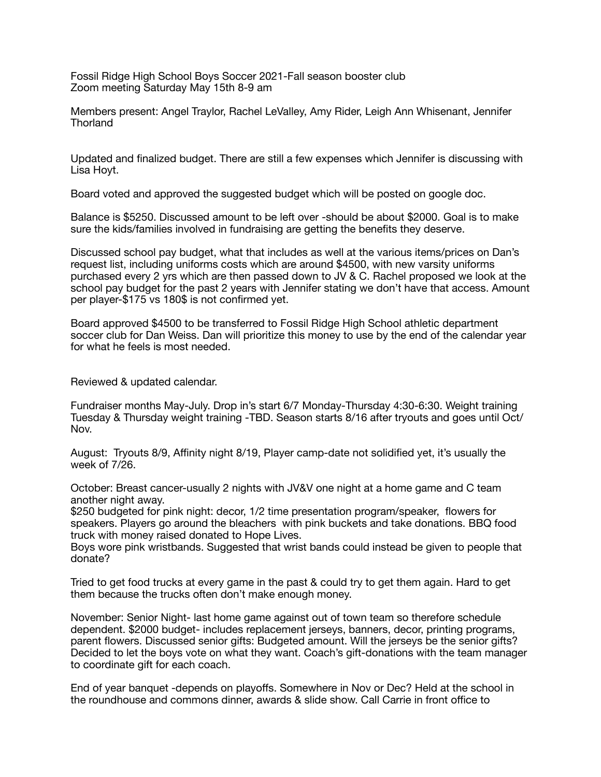Fossil Ridge High School Boys Soccer 2021-Fall season booster club Zoom meeting Saturday May 15th 8-9 am

Members present: Angel Traylor, Rachel LeValley, Amy Rider, Leigh Ann Whisenant, Jennifer **Thorland** 

Updated and finalized budget. There are still a few expenses which Jennifer is discussing with Lisa Hoyt.

Board voted and approved the suggested budget which will be posted on google doc.

Balance is \$5250. Discussed amount to be left over -should be about \$2000. Goal is to make sure the kids/families involved in fundraising are getting the benefits they deserve.

Discussed school pay budget, what that includes as well at the various items/prices on Dan's request list, including uniforms costs which are around \$4500, with new varsity uniforms purchased every 2 yrs which are then passed down to JV & C. Rachel proposed we look at the school pay budget for the past 2 years with Jennifer stating we don't have that access. Amount per player-\$175 vs 180\$ is not confirmed yet.

Board approved \$4500 to be transferred to Fossil Ridge High School athletic department soccer club for Dan Weiss. Dan will prioritize this money to use by the end of the calendar year for what he feels is most needed.

Reviewed & updated calendar.

Fundraiser months May-July. Drop in's start 6/7 Monday-Thursday 4:30-6:30. Weight training Tuesday & Thursday weight training -TBD. Season starts 8/16 after tryouts and goes until Oct/ Nov.

August: Tryouts 8/9, Affinity night 8/19, Player camp-date not solidified yet, it's usually the week of 7/26.

October: Breast cancer-usually 2 nights with JV&V one night at a home game and C team another night away.

\$250 budgeted for pink night: decor, 1/2 time presentation program/speaker, flowers for speakers. Players go around the bleachers with pink buckets and take donations. BBQ food truck with money raised donated to Hope Lives.

Boys wore pink wristbands. Suggested that wrist bands could instead be given to people that donate?

Tried to get food trucks at every game in the past & could try to get them again. Hard to get them because the trucks often don't make enough money.

November: Senior Night- last home game against out of town team so therefore schedule dependent. \$2000 budget- includes replacement jerseys, banners, decor, printing programs, parent flowers. Discussed senior gifts: Budgeted amount. Will the jerseys be the senior gifts? Decided to let the boys vote on what they want. Coach's gift-donations with the team manager to coordinate gift for each coach.

End of year banquet -depends on playoffs. Somewhere in Nov or Dec? Held at the school in the roundhouse and commons dinner, awards & slide show. Call Carrie in front office to